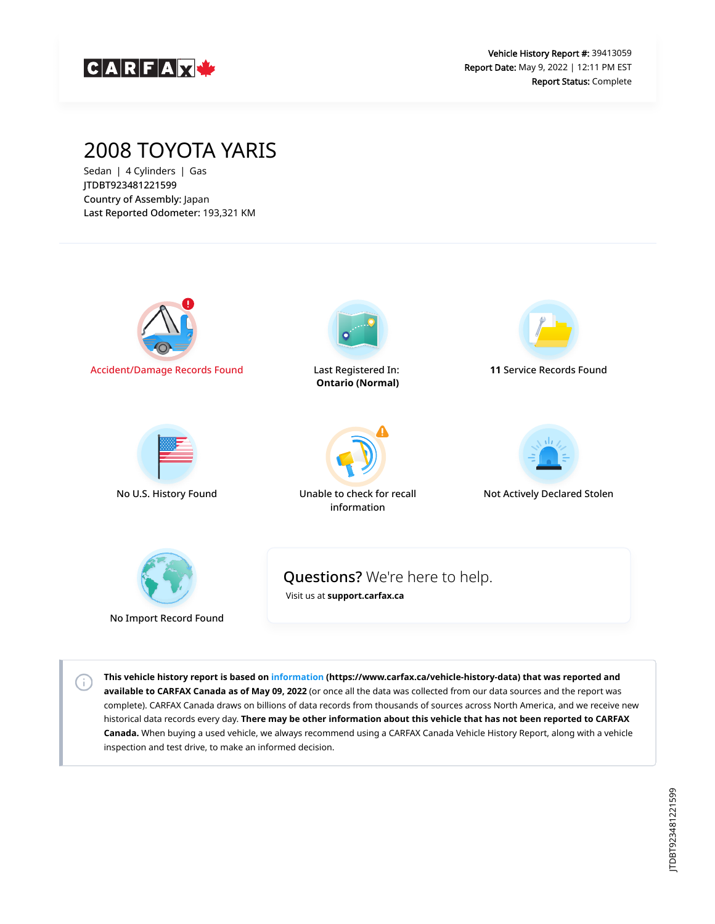

## 2008 TOYOTA YARIS

Sedan | 4 Cylinders | Gas JTDBT923481221599 Country of Assembly: Japan Last Reported Odometer: 193,321 KM

 $(i)$ 



**This vehicle history report is based on [information](https://www.carfax.ca/vehicle-history-data) (https://www.carfax.ca/vehicle-history-data) that was reported and available to CARFAX Canada as of May 09, 2022** (or once all the data was collected from our data sources and the report was complete). CARFAX Canada draws on billions of data records from thousands of sources across North America, and we receive new historical data records every day. **There may be other information about this vehicle that has not been reported to CARFAX Canada.** When buying a used vehicle, we always recommend using a CARFAX Canada Vehicle History Report, along with a vehicle inspection and test drive, to make an informed decision.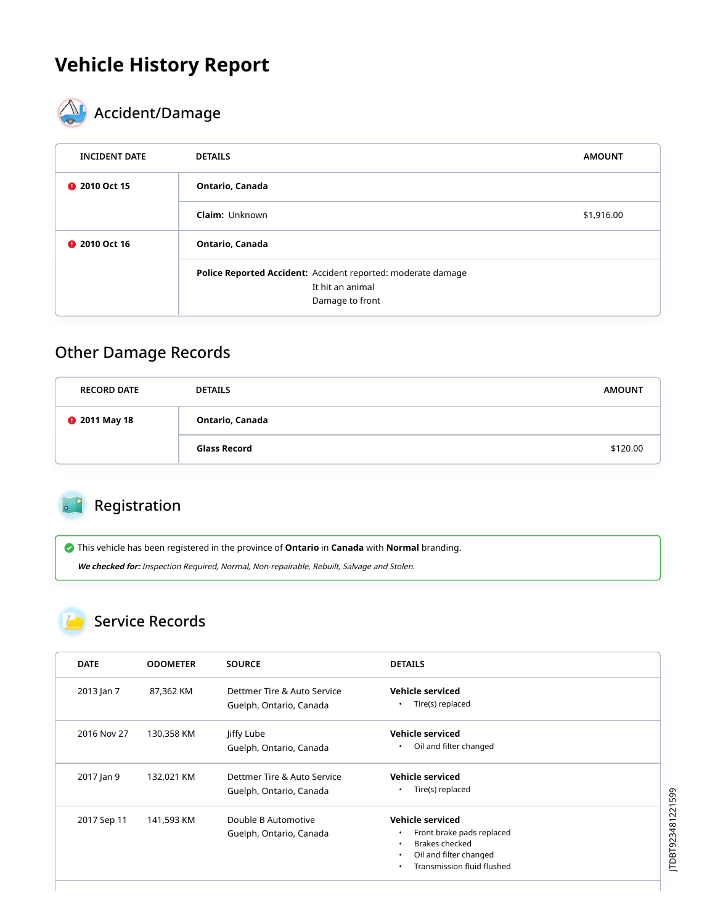# **Vehicle History Report**



# **AL** Accident/Damage

| <b>INCIDENT DATE</b> | <b>DETAILS</b>                                                                                      | <b>AMOUNT</b> |
|----------------------|-----------------------------------------------------------------------------------------------------|---------------|
| <b>@</b> 2010 Oct 15 | Ontario, Canada                                                                                     |               |
|                      | <b>Claim: Unknown</b>                                                                               | \$1,916.00    |
| <b>@</b> 2010 Oct 16 | Ontario, Canada                                                                                     |               |
|                      | Police Reported Accident: Accident reported: moderate damage<br>It hit an animal<br>Damage to front |               |

#### Other Damage Records

| <b>RECORD DATE</b>   | <b>DETAILS</b>  | <b>AMOUNT</b> |
|----------------------|-----------------|---------------|
| <b>@</b> 2011 May 18 | Ontario, Canada |               |
|                      | Glass Record    | \$120.00      |

#### Registration

This vehicle has been registered in the province of **Ontario** in **Canada** with **Normal** branding.

**We checked for:** Inspection Required, Normal, Non-repairable, Rebuilt, Salvage and Stolen.

#### Service Records

| <b>DATE</b> | <b>ODOMETER</b> | <b>SOURCE</b>               | <b>DETAILS</b>                         |
|-------------|-----------------|-----------------------------|----------------------------------------|
| 2013 Jan 7  | 87,362 KM       | Dettmer Tire & Auto Service | Vehicle serviced                       |
|             |                 | Guelph, Ontario, Canada     | Tire(s) replaced<br>$\bullet$          |
| 2016 Nov 27 | 130,358 KM      | Jiffy Lube                  | <b>Vehicle serviced</b>                |
|             |                 | Guelph, Ontario, Canada     | Oil and filter changed<br>٠            |
| 2017 Jan 9  | 132,021 KM      | Dettmer Tire & Auto Service | Vehicle serviced                       |
|             |                 | Guelph, Ontario, Canada     | Tire(s) replaced<br>$\bullet$          |
| 2017 Sep 11 | 141,593 KM      | Double B Automotive         | Vehicle serviced                       |
|             |                 | Guelph, Ontario, Canada     | Front brake pads replaced<br>$\bullet$ |
|             |                 |                             | Brakes checked<br>$\bullet$            |
|             |                 |                             | Oil and filter changed<br>$\bullet$    |
|             |                 |                             | Transmission fluid flushed<br>٠        |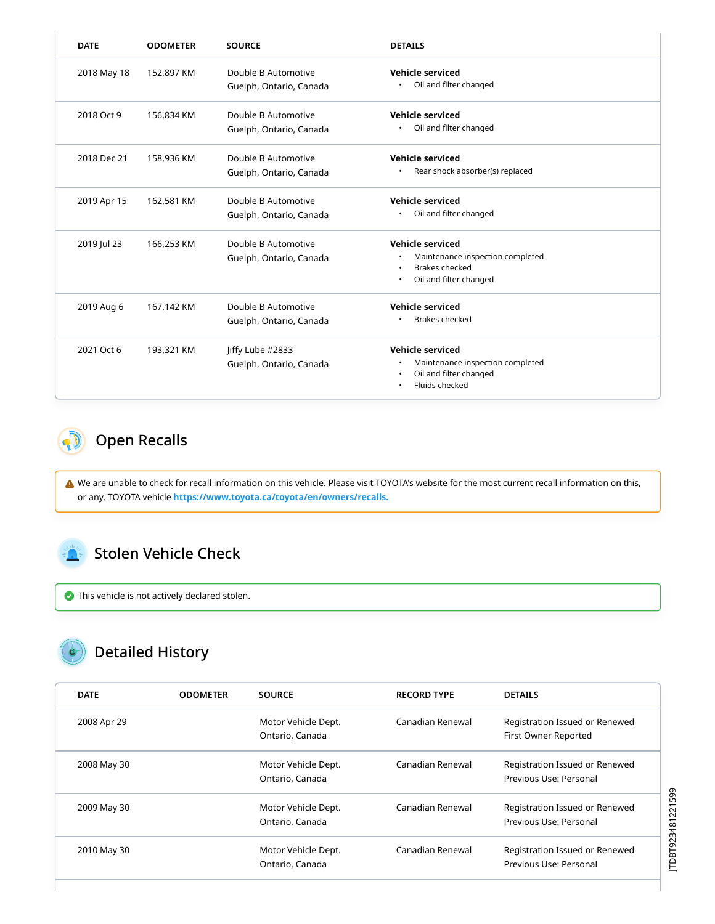| <b>DATE</b> | <b>ODOMETER</b> | <b>SOURCE</b>                                  | <b>DETAILS</b>                                                                                          |
|-------------|-----------------|------------------------------------------------|---------------------------------------------------------------------------------------------------------|
| 2018 May 18 | 152,897 KM      | Double B Automotive<br>Guelph, Ontario, Canada | Vehicle serviced<br>Oil and filter changed                                                              |
| 2018 Oct 9  | 156,834 KM      | Double B Automotive<br>Guelph, Ontario, Canada | <b>Vehicle serviced</b><br>Oil and filter changed                                                       |
| 2018 Dec 21 | 158,936 KM      | Double B Automotive<br>Guelph, Ontario, Canada | <b>Vehicle serviced</b><br>Rear shock absorber(s) replaced                                              |
| 2019 Apr 15 | 162,581 KM      | Double B Automotive<br>Guelph, Ontario, Canada | Vehicle serviced<br>Oil and filter changed                                                              |
| 2019 Jul 23 | 166,253 KM      | Double B Automotive<br>Guelph, Ontario, Canada | Vehicle serviced<br>Maintenance inspection completed<br>Brakes checked<br>Oil and filter changed<br>٠   |
| 2019 Aug 6  | 167,142 KM      | Double B Automotive<br>Guelph, Ontario, Canada | <b>Vehicle serviced</b><br><b>Brakes checked</b>                                                        |
| 2021 Oct 6  | 193,321 KM      | Jiffy Lube #2833<br>Guelph, Ontario, Canada    | <b>Vehicle serviced</b><br>Maintenance inspection completed<br>Oil and filter changed<br>Fluids checked |

#### <span id="page-2-0"></span>Open Recalls  $\bullet$  D

 We are unable to check for recall information on this vehicle. Please visit TOYOTA's website for the most current recall information on this, or any, TOYOTA vehicle **[https://www.toyota.ca/toyota/en/owners/recalls.](https://www.toyota.ca/toyota/en/owners/recalls)**

#### <span id="page-2-1"></span>Stolen Vehicle Check

This vehicle is not actively declared stolen.

### Detailed History

| <b>DATE</b> | <b>ODOMETER</b> | <b>SOURCE</b>                          | <b>RECORD TYPE</b> | <b>DETAILS</b>                                           |
|-------------|-----------------|----------------------------------------|--------------------|----------------------------------------------------------|
| 2008 Apr 29 |                 | Motor Vehicle Dept.<br>Ontario, Canada | Canadian Renewal   | Registration Issued or Renewed<br>First Owner Reported   |
| 2008 May 30 |                 | Motor Vehicle Dept.<br>Ontario, Canada | Canadian Renewal   | Registration Issued or Renewed<br>Previous Use: Personal |
| 2009 May 30 |                 | Motor Vehicle Dept.<br>Ontario, Canada | Canadian Renewal   | Registration Issued or Renewed<br>Previous Use: Personal |
| 2010 May 30 |                 | Motor Vehicle Dept.<br>Ontario, Canada | Canadian Renewal   | Registration Issued or Renewed<br>Previous Use: Personal |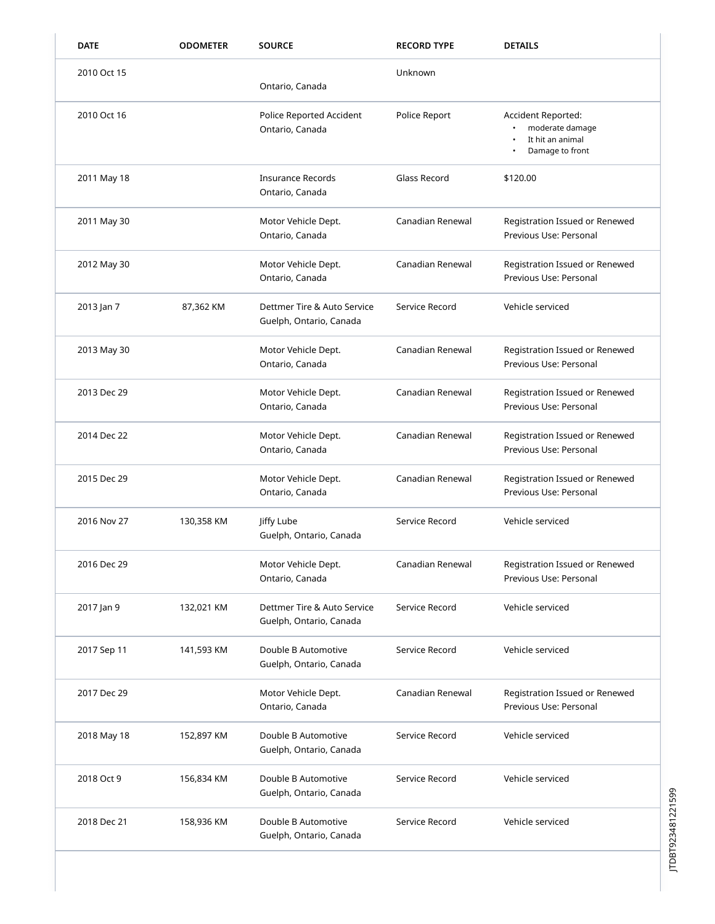| <b>DATE</b> | <b>ODOMETER</b> | <b>SOURCE</b>                                          | <b>RECORD TYPE</b> | <b>DETAILS</b>                                                               |
|-------------|-----------------|--------------------------------------------------------|--------------------|------------------------------------------------------------------------------|
| 2010 Oct 15 |                 | Ontario, Canada                                        | Unknown            |                                                                              |
| 2010 Oct 16 |                 | Police Reported Accident<br>Ontario, Canada            | Police Report      | Accident Reported:<br>moderate damage<br>It hit an animal<br>Damage to front |
| 2011 May 18 |                 | <b>Insurance Records</b><br>Ontario, Canada            | Glass Record       | \$120.00                                                                     |
| 2011 May 30 |                 | Motor Vehicle Dept.<br>Ontario, Canada                 | Canadian Renewal   | Registration Issued or Renewed<br>Previous Use: Personal                     |
| 2012 May 30 |                 | Motor Vehicle Dept.<br>Ontario, Canada                 | Canadian Renewal   | Registration Issued or Renewed<br>Previous Use: Personal                     |
| 2013 Jan 7  | 87,362 KM       | Dettmer Tire & Auto Service<br>Guelph, Ontario, Canada | Service Record     | Vehicle serviced                                                             |
| 2013 May 30 |                 | Motor Vehicle Dept.<br>Ontario, Canada                 | Canadian Renewal   | Registration Issued or Renewed<br>Previous Use: Personal                     |
| 2013 Dec 29 |                 | Motor Vehicle Dept.<br>Ontario, Canada                 | Canadian Renewal   | Registration Issued or Renewed<br>Previous Use: Personal                     |
| 2014 Dec 22 |                 | Motor Vehicle Dept.<br>Ontario, Canada                 | Canadian Renewal   | Registration Issued or Renewed<br>Previous Use: Personal                     |
| 2015 Dec 29 |                 | Motor Vehicle Dept.<br>Ontario, Canada                 | Canadian Renewal   | Registration Issued or Renewed<br>Previous Use: Personal                     |
| 2016 Nov 27 | 130,358 KM      | Jiffy Lube<br>Guelph, Ontario, Canada                  | Service Record     | Vehicle serviced                                                             |
| 2016 Dec 29 |                 | Motor Vehicle Dept.<br>Ontario, Canada                 | Canadian Renewal   | Registration Issued or Renewed<br>Previous Use: Personal                     |
| 2017 Jan 9  | 132,021 KM      | Dettmer Tire & Auto Service<br>Guelph, Ontario, Canada | Service Record     | Vehicle serviced                                                             |
| 2017 Sep 11 | 141,593 KM      | Double B Automotive<br>Guelph, Ontario, Canada         | Service Record     | Vehicle serviced                                                             |
| 2017 Dec 29 |                 | Motor Vehicle Dept.<br>Ontario, Canada                 | Canadian Renewal   | Registration Issued or Renewed<br>Previous Use: Personal                     |
| 2018 May 18 | 152,897 KM      | Double B Automotive<br>Guelph, Ontario, Canada         | Service Record     | Vehicle serviced                                                             |
| 2018 Oct 9  | 156,834 KM      | Double B Automotive<br>Guelph, Ontario, Canada         | Service Record     | Vehicle serviced                                                             |
| 2018 Dec 21 | 158,936 KM      | Double B Automotive<br>Guelph, Ontario, Canada         | Service Record     | Vehicle serviced                                                             |